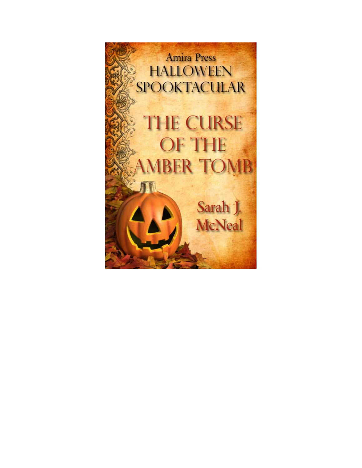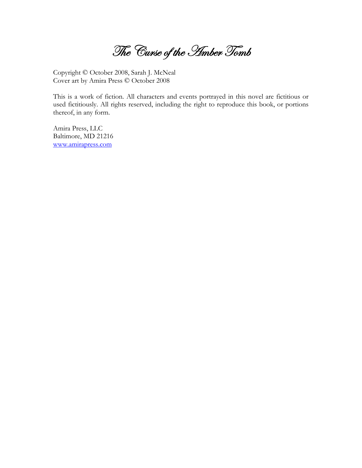The Curse of the *Himber Tomb* 

Copyright © October 2008, Sarah J. McNeal Cover art by Amira Press © October 2008

This is a work of fiction. All characters and events portrayed in this novel are fictitious or used fictitiously. All rights reserved, including the right to reproduce this book, or portions thereof, in any form.

Amira Press, LLC Baltimore, MD 21216 www.amirapress.com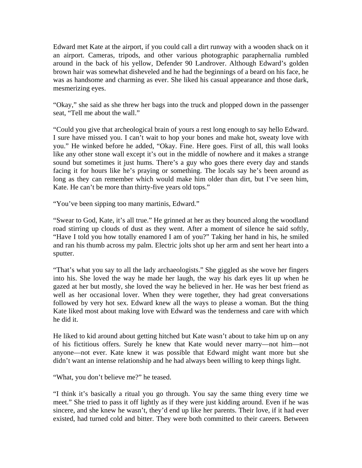Edward met Kate at the airport, if you could call a dirt runway with a wooden shack on it an airport. Cameras, tripods, and other various photographic paraphernalia rumbled around in the back of his yellow, Defender 90 Landrover. Although Edward's golden brown hair was somewhat disheveled and he had the beginnings of a beard on his face, he was as handsome and charming as ever. She liked his casual appearance and those dark, mesmerizing eyes.

"Okay," she said as she threw her bags into the truck and plopped down in the passenger seat, "Tell me about the wall."

"Could you give that archeological brain of yours a rest long enough to say hello Edward. I sure have missed you. I can't wait to hop your bones and make hot, sweaty love with you." He winked before he added, "Okay. Fine. Here goes. First of all, this wall looks like any other stone wall except it's out in the middle of nowhere and it makes a strange sound but sometimes it just hums. There's a guy who goes there every day and stands facing it for hours like he's praying or something. The locals say he's been around as long as they can remember which would make him older than dirt, but I've seen him, Kate. He can't be more than thirty-five years old tops."

"You've been sipping too many martinis, Edward."

"Swear to God, Kate, it's all true." He grinned at her as they bounced along the woodland road stirring up clouds of dust as they went. After a moment of silence he said softly, "Have I told you how totally enamored I am of you?" Taking her hand in his, he smiled and ran his thumb across my palm. Electric jolts shot up her arm and sent her heart into a sputter.

"That's what you say to all the lady archaeologists." She giggled as she wove her fingers into his. She loved the way he made her laugh, the way his dark eyes lit up when he gazed at her but mostly, she loved the way he believed in her. He was her best friend as well as her occasional lover. When they were together, they had great conversations followed by very hot sex. Edward knew all the ways to please a woman. But the thing Kate liked most about making love with Edward was the tenderness and care with which he did it.

He liked to kid around about getting hitched but Kate wasn't about to take him up on any of his fictitious offers. Surely he knew that Kate would never marry—not him—not anyone—not ever. Kate knew it was possible that Edward might want more but she didn't want an intense relationship and he had always been willing to keep things light.

"What, you don't believe me?" he teased.

"I think it's basically a ritual you go through. You say the same thing every time we meet." She tried to pass it off lightly as if they were just kidding around. Even if he was sincere, and she knew he wasn't, they'd end up like her parents. Their love, if it had ever existed, had turned cold and bitter. They were both committed to their careers. Between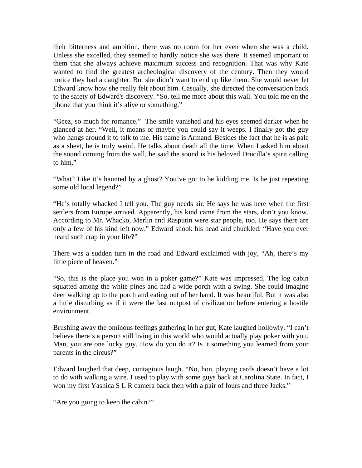their bitterness and ambition, there was no room for her even when she was a child. Unless she excelled, they seemed to hardly notice she was there. It seemed important to them that she always achieve maximum success and recognition. That was why Kate wanted to find the greatest archeological discovery of the century. Then they would notice they had a daughter. But she didn't want to end up like them. She would never let Edward know how she really felt about him. Casually, she directed the conversation back to the safety of Edward's discovery. "So, tell me more about this wall. You told me on the phone that you think it's alive or something."

"Geez, so much for romance." The smile vanished and his eyes seemed darker when he glanced at her. "Well, it moans or maybe you could say it weeps. I finally got the guy who hangs around it to talk to me. His name is Armand. Besides the fact that he is as pale as a sheet, he is truly weird. He talks about death all the time. When I asked him about the sound coming from the wall, he said the sound is his beloved Drucilla's spirit calling to him."

"What? Like it's haunted by a ghost? You've got to be kidding me. Is he just repeating some old local legend?"

"He's totally whacked I tell you. The guy needs air. He says he was here when the first settlers from Europe arrived. Apparently, his kind came from the stars, don't you know. According to Mr. Whacko, Merlin and Rasputin were star people, too. He says there are only a few of his kind left now." Edward shook his head and chuckled. "Have you ever heard such crap in your life?"

There was a sudden turn in the road and Edward exclaimed with joy, "Ah, there's my little piece of heaven."

"So, this is the place you won in a poker game?" Kate was impressed. The log cabin squatted among the white pines and had a wide porch with a swing. She could imagine deer walking up to the porch and eating out of her hand. It was beautiful. But it was also a little disturbing as if it were the last outpost of civilization before entering a hostile environment.

Brushing away the ominous feelings gathering in her gut, Kate laughed hollowly. "I can't believe there's a person still living in this world who would actually play poker with you. Man, you are one lucky guy. How do you do it? Is it something you learned from your parents in the circus?"

Edward laughed that deep, contagious laugh. "No, hon, playing cards doesn't have a lot to do with walking a wire. I used to play with some guys back at Carolina State. In fact, I won my first Yashica S L R camera back then with a pair of fours and three Jacks."

"Are you going to keep the cabin?"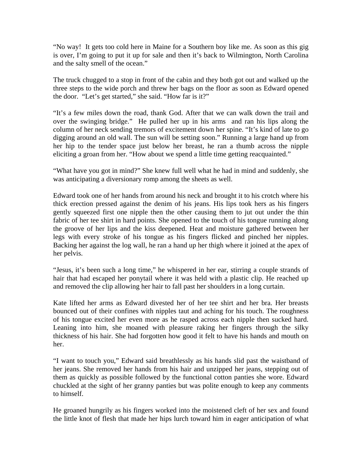"No way! It gets too cold here in Maine for a Southern boy like me. As soon as this gig is over, I'm going to put it up for sale and then it's back to Wilmington, North Carolina and the salty smell of the ocean."

The truck chugged to a stop in front of the cabin and they both got out and walked up the three steps to the wide porch and threw her bags on the floor as soon as Edward opened the door. "Let's get started," she said. "How far is it?"

"It's a few miles down the road, thank God. After that we can walk down the trail and over the swinging bridge." He pulled her up in his arms and ran his lips along the column of her neck sending tremors of excitement down her spine. "It's kind of late to go digging around an old wall. The sun will be setting soon." Running a large hand up from her hip to the tender space just below her breast, he ran a thumb across the nipple eliciting a groan from her. "How about we spend a little time getting reacquainted."

"What have you got in mind?" She knew full well what he had in mind and suddenly, she was anticipating a diversionary romp among the sheets as well.

Edward took one of her hands from around his neck and brought it to his crotch where his thick erection pressed against the denim of his jeans. His lips took hers as his fingers gently squeezed first one nipple then the other causing them to jut out under the thin fabric of her tee shirt in hard points. She opened to the touch of his tongue running along the groove of her lips and the kiss deepened. Heat and moisture gathered between her legs with every stroke of his tongue as his fingers flicked and pinched her nipples. Backing her against the log wall, he ran a hand up her thigh where it joined at the apex of her pelvis.

"Jesus, it's been such a long time," he whispered in her ear, stirring a couple strands of hair that had escaped her ponytail where it was held with a plastic clip. He reached up and removed the clip allowing her hair to fall past her shoulders in a long curtain.

Kate lifted her arms as Edward divested her of her tee shirt and her bra. Her breasts bounced out of their confines with nipples taut and aching for his touch. The roughness of his tongue excited her even more as he rasped across each nipple then sucked hard. Leaning into him, she moaned with pleasure raking her fingers through the silky thickness of his hair. She had forgotten how good it felt to have his hands and mouth on her.

"I want to touch you," Edward said breathlessly as his hands slid past the waistband of her jeans. She removed her hands from his hair and unzipped her jeans, stepping out of them as quickly as possible followed by the functional cotton panties she wore. Edward chuckled at the sight of her granny panties but was polite enough to keep any comments to himself.

He groaned hungrily as his fingers worked into the moistened cleft of her sex and found the little knot of flesh that made her hips lurch toward him in eager anticipation of what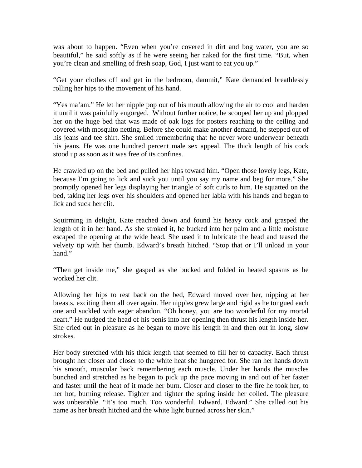was about to happen. "Even when you're covered in dirt and bog water, you are so beautiful," he said softly as if he were seeing her naked for the first time. "But, when you're clean and smelling of fresh soap, God, I just want to eat you up."

"Get your clothes off and get in the bedroom, dammit," Kate demanded breathlessly rolling her hips to the movement of his hand.

"Yes ma'am." He let her nipple pop out of his mouth allowing the air to cool and harden it until it was painfully engorged. Without further notice, he scooped her up and plopped her on the huge bed that was made of oak logs for posters reaching to the ceiling and covered with mosquito netting. Before she could make another demand, he stepped out of his jeans and tee shirt. She smiled remembering that he never wore underwear beneath his jeans. He was one hundred percent male sex appeal. The thick length of his cock stood up as soon as it was free of its confines.

He crawled up on the bed and pulled her hips toward him. "Open those lovely legs, Kate, because I'm going to lick and suck you until you say my name and beg for more." She promptly opened her legs displaying her triangle of soft curls to him. He squatted on the bed, taking her legs over his shoulders and opened her labia with his hands and began to lick and suck her clit.

Squirming in delight, Kate reached down and found his heavy cock and grasped the length of it in her hand. As she stroked it, he bucked into her palm and a little moisture escaped the opening at the wide head. She used it to lubricate the head and teased the velvety tip with her thumb. Edward's breath hitched. "Stop that or I'll unload in your hand."

"Then get inside me," she gasped as she bucked and folded in heated spasms as he worked her clit.

Allowing her hips to rest back on the bed, Edward moved over her, nipping at her breasts, exciting them all over again. Her nipples grew large and rigid as he tongued each one and suckled with eager abandon. "Oh honey, you are too wonderful for my mortal heart." He nudged the head of his penis into her opening then thrust his length inside her. She cried out in pleasure as he began to move his length in and then out in long, slow strokes.

Her body stretched with his thick length that seemed to fill her to capacity. Each thrust brought her closer and closer to the white heat she hungered for. She ran her hands down his smooth, muscular back remembering each muscle. Under her hands the muscles bunched and stretched as he began to pick up the pace moving in and out of her faster and faster until the heat of it made her burn. Closer and closer to the fire he took her, to her hot, burning release. Tighter and tighter the spring inside her coiled. The pleasure was unbearable. "It's too much. Too wonderful. Edward. Edward." She called out his name as her breath hitched and the white light burned across her skin."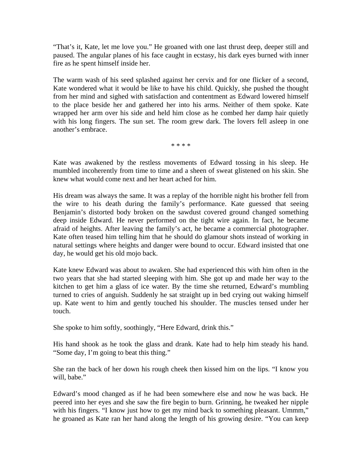"That's it, Kate, let me love you." He groaned with one last thrust deep, deeper still and paused. The angular planes of his face caught in ecstasy, his dark eyes burned with inner fire as he spent himself inside her.

The warm wash of his seed splashed against her cervix and for one flicker of a second, Kate wondered what it would be like to have his child. Quickly, she pushed the thought from her mind and sighed with satisfaction and contentment as Edward lowered himself to the place beside her and gathered her into his arms. Neither of them spoke. Kate wrapped her arm over his side and held him close as he combed her damp hair quietly with his long fingers. The sun set. The room grew dark. The lovers fell asleep in one another's embrace.

\* \* \* \*

Kate was awakened by the restless movements of Edward tossing in his sleep. He mumbled incoherently from time to time and a sheen of sweat glistened on his skin. She knew what would come next and her heart ached for him.

His dream was always the same. It was a replay of the horrible night his brother fell from the wire to his death during the family's performance. Kate guessed that seeing Benjamin's distorted body broken on the sawdust covered ground changed something deep inside Edward. He never performed on the tight wire again. In fact, he became afraid of heights. After leaving the family's act, he became a commercial photographer. Kate often teased him telling him that he should do glamour shots instead of working in natural settings where heights and danger were bound to occur. Edward insisted that one day, he would get his old mojo back.

Kate knew Edward was about to awaken. She had experienced this with him often in the two years that she had started sleeping with him. She got up and made her way to the kitchen to get him a glass of ice water. By the time she returned, Edward's mumbling turned to cries of anguish. Suddenly he sat straight up in bed crying out waking himself up. Kate went to him and gently touched his shoulder. The muscles tensed under her touch.

She spoke to him softly, soothingly, "Here Edward, drink this."

His hand shook as he took the glass and drank. Kate had to help him steady his hand. "Some day, I'm going to beat this thing."

She ran the back of her down his rough cheek then kissed him on the lips. "I know you will, babe."

Edward's mood changed as if he had been somewhere else and now he was back. He peered into her eyes and she saw the fire begin to burn. Grinning, he tweaked her nipple with his fingers. "I know just how to get my mind back to something pleasant. Ummm," he groaned as Kate ran her hand along the length of his growing desire. "You can keep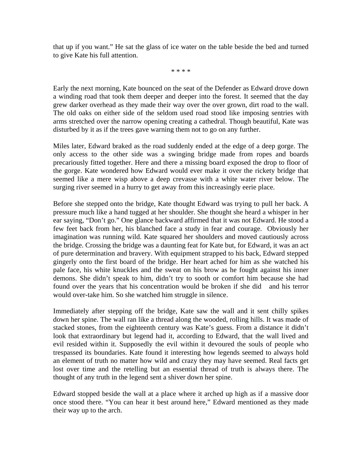that up if you want." He sat the glass of ice water on the table beside the bed and turned to give Kate his full attention.

\* \* \* \*

Early the next morning, Kate bounced on the seat of the Defender as Edward drove down a winding road that took them deeper and deeper into the forest. It seemed that the day grew darker overhead as they made their way over the over grown, dirt road to the wall. The old oaks on either side of the seldom used road stood like imposing sentries with arms stretched over the narrow opening creating a cathedral. Though beautiful, Kate was disturbed by it as if the trees gave warning them not to go on any further.

Miles later, Edward braked as the road suddenly ended at the edge of a deep gorge. The only access to the other side was a swinging bridge made from ropes and boards precariously fitted together. Here and there a missing board exposed the drop to floor of the gorge. Kate wondered how Edward would ever make it over the rickety bridge that seemed like a mere wisp above a deep crevasse with a white water river below. The surging river seemed in a hurry to get away from this increasingly eerie place.

Before she stepped onto the bridge, Kate thought Edward was trying to pull her back. A pressure much like a hand tugged at her shoulder. She thought she heard a whisper in her ear saying, "Don't go." One glance backward affirmed that it was not Edward. He stood a few feet back from her, his blanched face a study in fear and courage. Obviously her imagination was running wild. Kate squared her shoulders and moved cautiously across the bridge. Crossing the bridge was a daunting feat for Kate but, for Edward, it was an act of pure determination and bravery. With equipment strapped to his back, Edward stepped gingerly onto the first board of the bridge. Her heart ached for him as she watched his pale face, his white knuckles and the sweat on his brow as he fought against his inner demons. She didn't speak to him, didn't try to sooth or comfort him because she had found over the years that his concentration would be broken if she did and his terror would over-take him. So she watched him struggle in silence.

Immediately after stepping off the bridge, Kate saw the wall and it sent chilly spikes down her spine. The wall ran like a thread along the wooded, rolling hills. It was made of stacked stones, from the eighteenth century was Kate's guess. From a distance it didn't look that extraordinary but legend had it, according to Edward, that the wall lived and evil resided within it. Supposedly the evil within it devoured the souls of people who trespassed its boundaries. Kate found it interesting how legends seemed to always hold an element of truth no matter how wild and crazy they may have seemed. Real facts get lost over time and the retelling but an essential thread of truth is always there. The thought of any truth in the legend sent a shiver down her spine.

Edward stopped beside the wall at a place where it arched up high as if a massive door once stood there. "You can hear it best around here," Edward mentioned as they made their way up to the arch.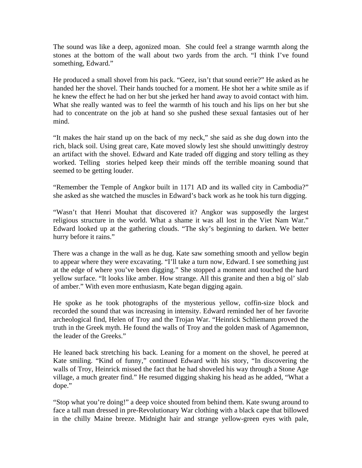The sound was like a deep, agonized moan. She could feel a strange warmth along the stones at the bottom of the wall about two yards from the arch. "I think I've found something, Edward."

He produced a small shovel from his pack. "Geez, isn't that sound eerie?" He asked as he handed her the shovel. Their hands touched for a moment. He shot her a white smile as if he knew the effect he had on her but she jerked her hand away to avoid contact with him. What she really wanted was to feel the warmth of his touch and his lips on her but she had to concentrate on the job at hand so she pushed these sexual fantasies out of her mind.

"It makes the hair stand up on the back of my neck," she said as she dug down into the rich, black soil. Using great care, Kate moved slowly lest she should unwittingly destroy an artifact with the shovel. Edward and Kate traded off digging and story telling as they worked. Telling stories helped keep their minds off the terrible moaning sound that seemed to be getting louder.

"Remember the Temple of Angkor built in 1171 AD and its walled city in Cambodia?" she asked as she watched the muscles in Edward's back work as he took his turn digging.

"Wasn't that Henri Mouhat that discovered it? Angkor was supposedly the largest religious structure in the world. What a shame it was all lost in the Viet Nam War." Edward looked up at the gathering clouds. "The sky's beginning to darken. We better hurry before it rains."

There was a change in the wall as he dug. Kate saw something smooth and yellow begin to appear where they were excavating. "I'll take a turn now, Edward. I see something just at the edge of where you've been digging." She stopped a moment and touched the hard yellow surface. "It looks like amber. How strange. All this granite and then a big ol' slab of amber." With even more enthusiasm, Kate began digging again.

He spoke as he took photographs of the mysterious yellow, coffin-size block and recorded the sound that was increasing in intensity. Edward reminded her of her favorite archeological find, Helen of Troy and the Trojan War. "Heinrick Schliemann proved the truth in the Greek myth. He found the walls of Troy and the golden mask of Agamemnon, the leader of the Greeks."

He leaned back stretching his back. Leaning for a moment on the shovel, he peered at Kate smiling. "Kind of funny," continued Edward with his story, "In discovering the walls of Troy, Heinrick missed the fact that he had shoveled his way through a Stone Age village, a much greater find." He resumed digging shaking his head as he added, "What a dope."

"Stop what you're doing!" a deep voice shouted from behind them. Kate swung around to face a tall man dressed in pre-Revolutionary War clothing with a black cape that billowed in the chilly Maine breeze. Midnight hair and strange yellow-green eyes with pale,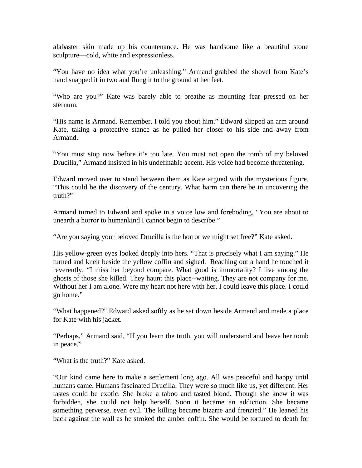alabaster skin made up his countenance. He was handsome like a beautiful stone sculpture—cold, white and expressionless.

"You have no idea what you're unleashing." Armand grabbed the shovel from Kate's hand snapped it in two and flung it to the ground at her feet.

"Who are you?" Kate was barely able to breathe as mounting fear pressed on her sternum.

"His name is Armand. Remember, I told you about him." Edward slipped an arm around Kate, taking a protective stance as he pulled her closer to his side and away from Armand.

"You must stop now before it's too late. You must not open the tomb of my beloved Drucilla," Armand insisted in his undefinable accent. His voice had become threatening.

Edward moved over to stand between them as Kate argued with the mysterious figure. "This could be the discovery of the century. What harm can there be in uncovering the truth?"

Armand turned to Edward and spoke in a voice low and foreboding, "You are about to unearth a horror to humankind I cannot begin to describe."

"Are you saying your beloved Drucilla is the horror we might set free?" Kate asked.

His yellow-green eyes looked deeply into hers. "That is precisely what I am saying." He turned and knelt beside the yellow coffin and sighed. Reaching out a hand he touched it reverently. "I miss her beyond compare. What good is immortality? I live among the ghosts of those she killed. They haunt this place--waiting. They are not company for me. Without her I am alone. Were my heart not here with her, I could leave this place. I could go home."

"What happened?" Edward asked softly as he sat down beside Armand and made a place for Kate with his jacket.

"Perhaps," Armand said, "If you learn the truth, you will understand and leave her tomb in peace."

"What is the truth?" Kate asked.

"Our kind came here to make a settlement long ago. All was peaceful and happy until humans came. Humans fascinated Drucilla. They were so much like us, yet different. Her tastes could be exotic. She broke a taboo and tasted blood. Though she knew it was forbidden, she could not help herself. Soon it became an addiction. She became something perverse, even evil. The killing became bizarre and frenzied." He leaned his back against the wall as he stroked the amber coffin. She would be tortured to death for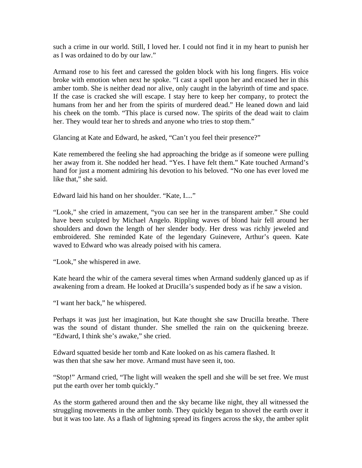such a crime in our world. Still, I loved her. I could not find it in my heart to punish her as I was ordained to do by our law."

Armand rose to his feet and caressed the golden block with his long fingers. His voice broke with emotion when next he spoke. "I cast a spell upon her and encased her in this amber tomb. She is neither dead nor alive, only caught in the labyrinth of time and space. If the case is cracked she will escape. I stay here to keep her company, to protect the humans from her and her from the spirits of murdered dead." He leaned down and laid his cheek on the tomb. "This place is cursed now. The spirits of the dead wait to claim her. They would tear her to shreds and anyone who tries to stop them."

Glancing at Kate and Edward, he asked, "Can't you feel their presence?"

Kate remembered the feeling she had approaching the bridge as if someone were pulling her away from it. She nodded her head. "Yes. I have felt them." Kate touched Armand's hand for just a moment admiring his devotion to his beloved. "No one has ever loved me like that," she said.

Edward laid his hand on her shoulder. "Kate, I...."

"Look," she cried in amazement, "you can see her in the transparent amber." She could have been sculpted by Michael Angelo. Rippling waves of blond hair fell around her shoulders and down the length of her slender body. Her dress was richly jeweled and embroidered. She reminded Kate of the legendary Guinevere, Arthur's queen. Kate waved to Edward who was already poised with his camera.

"Look," she whispered in awe.

Kate heard the whir of the camera several times when Armand suddenly glanced up as if awakening from a dream. He looked at Drucilla's suspended body as if he saw a vision.

"I want her back," he whispered.

Perhaps it was just her imagination, but Kate thought she saw Drucilla breathe. There was the sound of distant thunder. She smelled the rain on the quickening breeze. "Edward, I think she's awake," she cried.

Edward squatted beside her tomb and Kate looked on as his camera flashed. It was then that she saw her move. Armand must have seen it, too.

"Stop!" Armand cried, "The light will weaken the spell and she will be set free. We must put the earth over her tomb quickly."

As the storm gathered around then and the sky became like night, they all witnessed the struggling movements in the amber tomb. They quickly began to shovel the earth over it but it was too late. As a flash of lightning spread its fingers across the sky, the amber split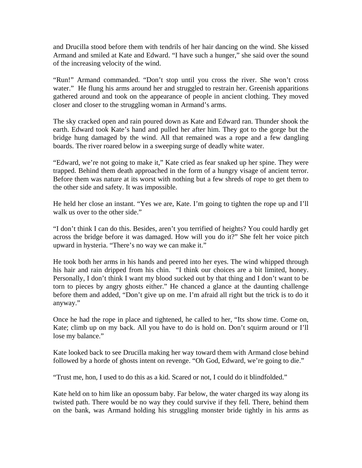and Drucilla stood before them with tendrils of her hair dancing on the wind. She kissed Armand and smiled at Kate and Edward. "I have such a hunger," she said over the sound of the increasing velocity of the wind.

"Run!" Armand commanded. "Don't stop until you cross the river. She won't cross water." He flung his arms around her and struggled to restrain her. Greenish apparitions gathered around and took on the appearance of people in ancient clothing. They moved closer and closer to the struggling woman in Armand's arms.

The sky cracked open and rain poured down as Kate and Edward ran. Thunder shook the earth. Edward took Kate's hand and pulled her after him. They got to the gorge but the bridge hung damaged by the wind. All that remained was a rope and a few dangling boards. The river roared below in a sweeping surge of deadly white water.

"Edward, we're not going to make it," Kate cried as fear snaked up her spine. They were trapped. Behind them death approached in the form of a hungry visage of ancient terror. Before them was nature at its worst with nothing but a few shreds of rope to get them to the other side and safety. It was impossible.

He held her close an instant. "Yes we are, Kate. I'm going to tighten the rope up and I'll walk us over to the other side."

"I don't think I can do this. Besides, aren't you terrified of heights? You could hardly get across the bridge before it was damaged. How will you do it?" She felt her voice pitch upward in hysteria. "There's no way we can make it."

He took both her arms in his hands and peered into her eyes. The wind whipped through his hair and rain dripped from his chin. "I think our choices are a bit limited, honey. Personally, I don't think I want my blood sucked out by that thing and I don't want to be torn to pieces by angry ghosts either." He chanced a glance at the daunting challenge before them and added, "Don't give up on me. I'm afraid all right but the trick is to do it anyway."

Once he had the rope in place and tightened, he called to her, "Its show time. Come on, Kate; climb up on my back. All you have to do is hold on. Don't squirm around or I'll lose my balance."

Kate looked back to see Drucilla making her way toward them with Armand close behind followed by a horde of ghosts intent on revenge. "Oh God, Edward, we're going to die."

"Trust me, hon, I used to do this as a kid. Scared or not, I could do it blindfolded."

Kate held on to him like an opossum baby. Far below, the water charged its way along its twisted path. There would be no way they could survive if they fell. There, behind them on the bank, was Armand holding his struggling monster bride tightly in his arms as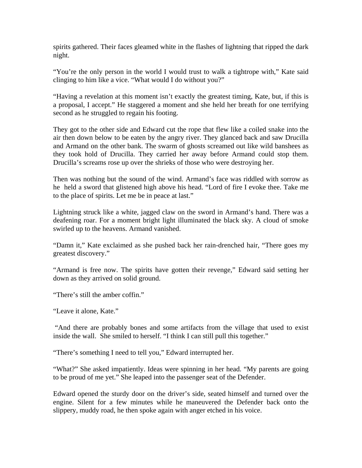spirits gathered. Their faces gleamed white in the flashes of lightning that ripped the dark night.

"You're the only person in the world I would trust to walk a tightrope with," Kate said clinging to him like a vice. "What would I do without you?"

"Having a revelation at this moment isn't exactly the greatest timing, Kate, but, if this is a proposal, I accept." He staggered a moment and she held her breath for one terrifying second as he struggled to regain his footing.

They got to the other side and Edward cut the rope that flew like a coiled snake into the air then down below to be eaten by the angry river. They glanced back and saw Drucilla and Armand on the other bank. The swarm of ghosts screamed out like wild banshees as they took hold of Drucilla. They carried her away before Armand could stop them. Drucilla's screams rose up over the shrieks of those who were destroying her.

Then was nothing but the sound of the wind. Armand's face was riddled with sorrow as he held a sword that glistened high above his head. "Lord of fire I evoke thee. Take me to the place of spirits. Let me be in peace at last."

Lightning struck like a white, jagged claw on the sword in Armand's hand. There was a deafening roar. For a moment bright light illuminated the black sky. A cloud of smoke swirled up to the heavens. Armand vanished.

"Damn it," Kate exclaimed as she pushed back her rain-drenched hair, "There goes my greatest discovery."

"Armand is free now. The spirits have gotten their revenge," Edward said setting her down as they arrived on solid ground.

"There's still the amber coffin."

"Leave it alone, Kate."

 "And there are probably bones and some artifacts from the village that used to exist inside the wall. She smiled to herself. "I think I can still pull this together."

"There's something I need to tell you," Edward interrupted her.

"What?" She asked impatiently. Ideas were spinning in her head. "My parents are going to be proud of me yet." She leaped into the passenger seat of the Defender.

Edward opened the sturdy door on the driver's side, seated himself and turned over the engine. Silent for a few minutes while he maneuvered the Defender back onto the slippery, muddy road, he then spoke again with anger etched in his voice.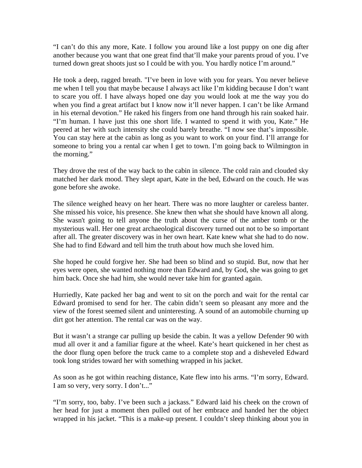"I can't do this any more, Kate. I follow you around like a lost puppy on one dig after another because you want that one great find that'll make your parents proud of you. I've turned down great shoots just so I could be with you. You hardly notice I'm around."

He took a deep, ragged breath. "I've been in love with you for years. You never believe me when I tell you that maybe because I always act like I'm kidding because I don't want to scare you off. I have always hoped one day you would look at me the way you do when you find a great artifact but I know now it'll never happen. I can't be like Armand in his eternal devotion." He raked his fingers from one hand through his rain soaked hair. "I'm human. I have just this one short life. I wanted to spend it with you, Kate." He peered at her with such intensity she could barely breathe. "I now see that's impossible. You can stay here at the cabin as long as you want to work on your find. I'll arrange for someone to bring you a rental car when I get to town. I'm going back to Wilmington in the morning."

They drove the rest of the way back to the cabin in silence. The cold rain and clouded sky matched her dark mood. They slept apart, Kate in the bed, Edward on the couch. He was gone before she awoke.

The silence weighed heavy on her heart. There was no more laughter or careless banter. She missed his voice, his presence. She knew then what she should have known all along. She wasn't going to tell anyone the truth about the curse of the amber tomb or the mysterious wall. Her one great archaeological discovery turned out not to be so important after all. The greater discovery was in her own heart. Kate knew what she had to do now. She had to find Edward and tell him the truth about how much she loved him.

She hoped he could forgive her. She had been so blind and so stupid. But, now that her eyes were open, she wanted nothing more than Edward and, by God, she was going to get him back. Once she had him, she would never take him for granted again.

Hurriedly, Kate packed her bag and went to sit on the porch and wait for the rental car Edward promised to send for her. The cabin didn't seem so pleasant any more and the view of the forest seemed silent and uninteresting. A sound of an automobile churning up dirt got her attention. The rental car was on the way.

But it wasn't a strange car pulling up beside the cabin. It was a yellow Defender 90 with mud all over it and a familiar figure at the wheel. Kate's heart quickened in her chest as the door flung open before the truck came to a complete stop and a disheveled Edward took long strides toward her with something wrapped in his jacket.

As soon as he got within reaching distance, Kate flew into his arms. "I'm sorry, Edward. I am so very, very sorry. I don't..."

"I'm sorry, too, baby. I've been such a jackass." Edward laid his cheek on the crown of her head for just a moment then pulled out of her embrace and handed her the object wrapped in his jacket. "This is a make-up present. I couldn't sleep thinking about you in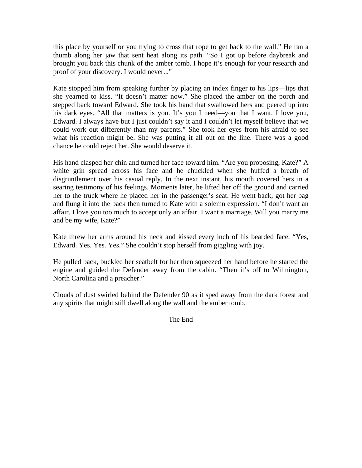this place by yourself or you trying to cross that rope to get back to the wall." He ran a thumb along her jaw that sent heat along its path. "So I got up before daybreak and brought you back this chunk of the amber tomb. I hope it's enough for your research and proof of your discovery. I would never..."

Kate stopped him from speaking further by placing an index finger to his lips—lips that she yearned to kiss. "It doesn't matter now." She placed the amber on the porch and stepped back toward Edward. She took his hand that swallowed hers and peered up into his dark eyes. "All that matters is you. It's you I need—you that I want. I love you, Edward. I always have but I just couldn't say it and I couldn't let myself believe that we could work out differently than my parents." She took her eyes from his afraid to see what his reaction might be. She was putting it all out on the line. There was a good chance he could reject her. She would deserve it.

His hand clasped her chin and turned her face toward him. "Are you proposing, Kate?" A white grin spread across his face and he chuckled when she huffed a breath of disgruntlement over his casual reply. In the next instant, his mouth covered hers in a searing testimony of his feelings. Moments later, he lifted her off the ground and carried her to the truck where he placed her in the passenger's seat. He went back, got her bag and flung it into the back then turned to Kate with a solemn expression. "I don't want an affair. I love you too much to accept only an affair. I want a marriage. Will you marry me and be my wife, Kate?"

Kate threw her arms around his neck and kissed every inch of his bearded face. "Yes, Edward. Yes. Yes. Yes." She couldn't stop herself from giggling with joy.

He pulled back, buckled her seatbelt for her then squeezed her hand before he started the engine and guided the Defender away from the cabin. "Then it's off to Wilmington, North Carolina and a preacher."

Clouds of dust swirled behind the Defender 90 as it sped away from the dark forest and any spirits that might still dwell along the wall and the amber tomb.

The End